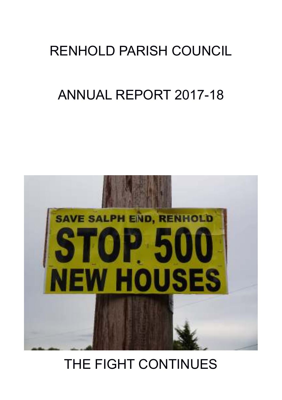## RENHOLD PARISH COUNCIL

# ANNUAL REPORT 2017-18



# THE FIGHT CONTINUES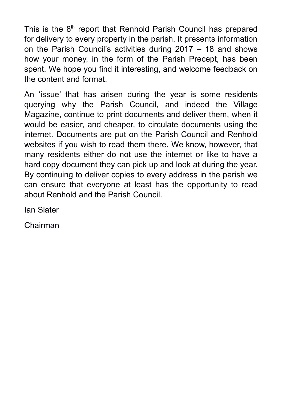This is the 8<sup>th</sup> report that Renhold Parish Council has prepared for delivery to every property in the parish. It presents information on the Parish Council's activities during 2017 – 18 and shows how your money, in the form of the Parish Precept, has been spent. We hope you find it interesting, and welcome feedback on the content and format.

An 'issue' that has arisen during the year is some residents querying why the Parish Council, and indeed the Village Magazine, continue to print documents and deliver them, when it would be easier, and cheaper, to circulate documents using the internet. Documents are put on the Parish Council and Renhold websites if you wish to read them there. We know, however, that many residents either do not use the internet or like to have a hard copy document they can pick up and look at during the year. By continuing to deliver copies to every address in the parish we can ensure that everyone at least has the opportunity to read about Renhold and the Parish Council.

Ian Slater

Chairman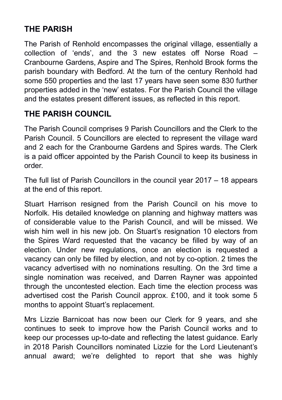#### **THE PARISH**

The Parish of Renhold encompasses the original village, essentially a collection of 'ends', and the 3 new estates off Norse Road – Cranbourne Gardens, Aspire and The Spires, Renhold Brook forms the parish boundary with Bedford. At the turn of the century Renhold had some 550 properties and the last 17 years have seen some 830 further properties added in the 'new' estates. For the Parish Council the village and the estates present different issues, as reflected in this report.

### **THE PARISH COUNCIL**

The Parish Council comprises 9 Parish Councillors and the Clerk to the Parish Council. 5 Councillors are elected to represent the village ward and 2 each for the Cranbourne Gardens and Spires wards. The Clerk is a paid officer appointed by the Parish Council to keep its business in order.

The full list of Parish Councillors in the council year 2017 – 18 appears at the end of this report.

Stuart Harrison resigned from the Parish Council on his move to Norfolk. His detailed knowledge on planning and highway matters was of considerable value to the Parish Council, and will be missed. We wish him well in his new job. On Stuart's resignation 10 electors from the Spires Ward requested that the vacancy be filled by way of an election. Under new regulations, once an election is requested a vacancy can only be filled by election, and not by co-option. 2 times the vacancy advertised with no nominations resulting. On the 3rd time a single nomination was received, and Darren Rayner was appointed through the uncontested election. Each time the election process was advertised cost the Parish Council approx. £100, and it took some 5 months to appoint Stuart's replacement.

Mrs Lizzie Barnicoat has now been our Clerk for 9 years, and she continues to seek to improve how the Parish Council works and to keep our processes up-to-date and reflecting the latest guidance. Early in 2018 Parish Councillors nominated Lizzie for the Lord Lieutenant's annual award; we're delighted to report that she was highly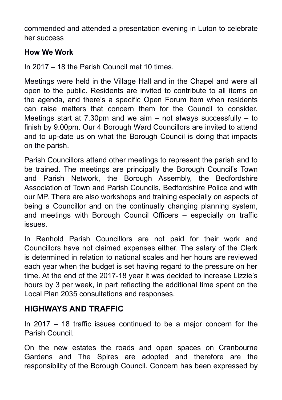commended and attended a presentation evening in Luton to celebrate her success

#### **How We Work**

In 2017 – 18 the Parish Council met 10 times.

Meetings were held in the Village Hall and in the Chapel and were all open to the public. Residents are invited to contribute to all items on the agenda, and there's a specific Open Forum item when residents can raise matters that concern them for the Council to consider. Meetings start at 7.30pm and we aim – not always successfully – to finish by 9.00pm. Our 4 Borough Ward Councillors are invited to attend and to up-date us on what the Borough Council is doing that impacts on the parish.

Parish Councillors attend other meetings to represent the parish and to be trained. The meetings are principally the Borough Council's Town and Parish Network, the Borough Assembly, the Bedfordshire Association of Town and Parish Councils, Bedfordshire Police and with our MP. There are also workshops and training especially on aspects of being a Councillor and on the continually changing planning system, and meetings with Borough Council Officers – especially on traffic issues.

In Renhold Parish Councillors are not paid for their work and Councillors have not claimed expenses either. The salary of the Clerk is determined in relation to national scales and her hours are reviewed each year when the budget is set having regard to the pressure on her time. At the end of the 2017-18 year it was decided to increase Lizzie's hours by 3 per week, in part reflecting the additional time spent on the Local Plan 2035 consultations and responses.

#### **HIGHWAYS AND TRAFFIC**

In 2017 – 18 traffic issues continued to be a major concern for the Parish Council.

On the new estates the roads and open spaces on Cranbourne Gardens and The Spires are adopted and therefore are the responsibility of the Borough Council. Concern has been expressed by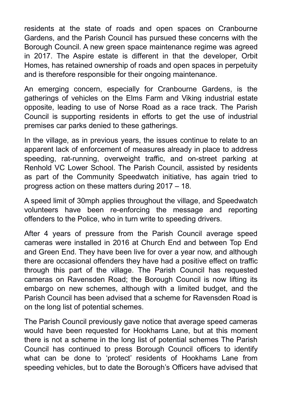residents at the state of roads and open spaces on Cranbourne Gardens, and the Parish Council has pursued these concerns with the Borough Council. A new green space maintenance regime was agreed in 2017. The Aspire estate is different in that the developer, Orbit Homes, has retained ownership of roads and open spaces in perpetuity and is therefore responsible for their ongoing maintenance.

An emerging concern, especially for Cranbourne Gardens, is the gatherings of vehicles on the Elms Farm and Viking industrial estate opposite, leading to use of Norse Road as a race track. The Parish Council is supporting residents in efforts to get the use of industrial premises car parks denied to these gatherings.

In the village, as in previous years, the issues continue to relate to an apparent lack of enforcement of measures already in place to address speeding, rat-running, overweight traffic, and on-street parking at Renhold VC Lower School. The Parish Council, assisted by residents as part of the Community Speedwatch initiative, has again tried to progress action on these matters during 2017 – 18.

A speed limit of 30mph applies throughout the village, and Speedwatch volunteers have been re-enforcing the message and reporting offenders to the Police, who in turn write to speeding drivers.

After 4 years of pressure from the Parish Council average speed cameras were installed in 2016 at Church End and between Top End and Green End. They have been live for over a year now, and although there are occasional offenders they have had a positive effect on traffic through this part of the village. The Parish Council has requested cameras on Ravensden Road; the Borough Council is now lifting its embargo on new schemes, although with a limited budget, and the Parish Council has been advised that a scheme for Ravensden Road is on the long list of potential schemes.

The Parish Council previously gave notice that average speed cameras would have been requested for Hookhams Lane, but at this moment there is not a scheme in the long list of potential schemes The Parish Council has continued to press Borough Council officers to identify what can be done to 'protect' residents of Hookhams Lane from speeding vehicles, but to date the Borough's Officers have advised that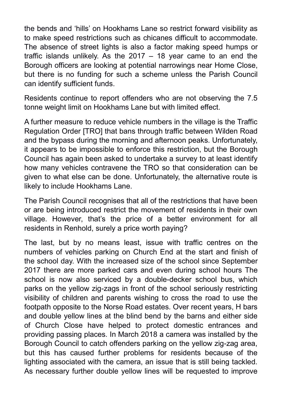the bends and 'hills' on Hookhams Lane so restrict forward visibility as to make speed restrictions such as chicanes difficult to accommodate. The absence of street lights is also a factor making speed humps or traffic islands unlikely. As the 2017 – 18 year came to an end the Borough officers are looking at potential narrowings near Home Close, but there is no funding for such a scheme unless the Parish Council can identify sufficient funds.

Residents continue to report offenders who are not observing the 7.5 tonne weight limit on Hookhams Lane but with limited effect.

A further measure to reduce vehicle numbers in the village is the Traffic Regulation Order [TRO] that bans through traffic between Wilden Road and the bypass during the morning and afternoon peaks. Unfortunately, it appears to be impossible to enforce this restriction, but the Borough Council has again been asked to undertake a survey to at least identify how many vehicles contravene the TRO so that consideration can be given to what else can be done. Unfortunately, the alternative route is likely to include Hookhams Lane.

The Parish Council recognises that all of the restrictions that have been or are being introduced restrict the movement of residents in their own village. However, that's the price of a better environment for all residents in Renhold, surely a price worth paying?

The last, but by no means least, issue with traffic centres on the numbers of vehicles parking on Church End at the start and finish of the school day. With the increased size of the school since September 2017 there are more parked cars and even during school hours The school is now also serviced by a double-decker school bus, which parks on the yellow zig-zags in front of the school seriously restricting visibility of children and parents wishing to cross the road to use the footpath opposite to the Norse Road estates. Over recent years, H bars and double yellow lines at the blind bend by the barns and either side of Church Close have helped to protect domestic entrances and providing passing places. In March 2018 a camera was installed by the Borough Council to catch offenders parking on the yellow zig-zag area, but this has caused further problems for residents because of the lighting associated with the camera, an issue that is still being tackled. As necessary further double yellow lines will be requested to improve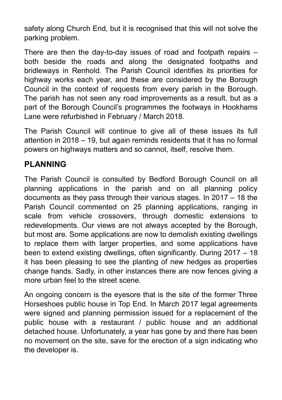safety along Church End, but it is recognised that this will not solve the parking problem.

There are then the day-to-day issues of road and footpath repairs – both beside the roads and along the designated footpaths and bridleways in Renhold. The Parish Council identifies its priorities for highway works each year, and these are considered by the Borough Council in the context of requests from every parish in the Borough. The parish has not seen any road improvements as a result, but as a part of the Borough Council's programmes the footways in Hookhams Lane were refurbished in February / March 2018.

The Parish Council will continue to give all of these issues its full attention in 2018 – 19, but again reminds residents that it has no formal powers on highways matters and so cannot, itself, resolve them.

#### **PLANNING**

The Parish Council is consulted by Bedford Borough Council on all planning applications in the parish and on all planning policy documents as they pass through their various stages. In 2017 – 18 the Parish Council commented on 25 planning applications, ranging in scale from vehicle crossovers, through domestic extensions to redevelopments. Our views are not always accepted by the Borough, but most are. Some applications are now to demolish existing dwellings to replace them with larger properties, and some applications have been to extend existing dwellings, often significantly. During 2017 – 18 it has been pleasing to see the planting of new hedges as properties change hands. Sadly, in other instances there are now fences giving a more urban feel to the street scene.

An ongoing concern is the eyesore that is the site of the former Three Horseshoes public house in Top End. In March 2017 legal agreements were signed and planning permission issued for a replacement of the public house with a restaurant / public house and an additional detached house. Unfortunately, a year has gone by and there has been no movement on the site, save for the erection of a sign indicating who the developer is.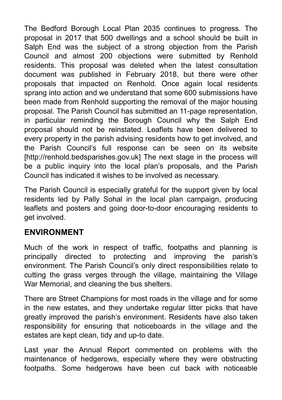The Bedford Borough Local Plan 2035 continues to progress. The proposal in 2017 that 500 dwellings and a school should be built in Salph End was the subject of a strong objection from the Parish Council and almost 200 objections were submitted by Renhold residents. This proposal was deleted when the latest consultation document was published in February 2018, but there were other proposals that impacted on Renhold. Once again local residents sprang into action and we understand that some 600 submissions have been made from Renhold supporting the removal of the major housing proposal. The Parish Council has submitted an 11-page representation, in particular reminding the Borough Council why the Salph End proposal should not be reinstated. Leaflets have been delivered to every property in the parish advising residents how to get involved, and the Parish Council's full response can be seen on its website [http://renhold.bedsparishes.gov.uk] The next stage in the process will be a public inquiry into the local plan's proposals, and the Parish Council has indicated it wishes to be involved as necessary.

The Parish Council is especially grateful for the support given by local residents led by Pally Sohal in the local plan campaign, producing leaflets and posters and going door-to-door encouraging residents to get involved.

#### **ENVIRONMENT**

Much of the work in respect of traffic, footpaths and planning is principally directed to protecting and improving the parish's environment. The Parish Council's only direct responsibilities relate to cutting the grass verges through the village, maintaining the Village War Memorial, and cleaning the bus shelters.

There are Street Champions for most roads in the village and for some in the new estates, and they undertake regular litter picks that have greatly improved the parish's environment. Residents have also taken responsibility for ensuring that noticeboards in the village and the estates are kept clean, tidy and up-to date.

Last year the Annual Report commented on problems with the maintenance of hedgerows, especially where they were obstructing footpaths. Some hedgerows have been cut back with noticeable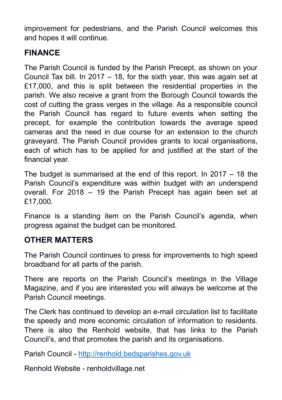improvement for pedestrians, and the Parish Council welcomes this and hopes it will continue.

#### **FINANCE**

The Parish Council is funded by the Parish Precept, as shown on your Council Tax bill. In 2017 – 18, for the sixth year, this was again set at £17,000, and this is split between the residential properties in the parish. We also receive a grant from the Borough Council towards the cost of cutting the grass verges in the village. As a responsible council the Parish Council has regard to future events when setting the precept, for example the contribution towards the average speed cameras and the need in due course for an extension to the church graveyard. The Parish Council provides grants to local organisations, each of which has to be applied for and justified at the start of the financial year.

The budget is summarised at the end of this report. In 2017 – 18 the Parish Council's expenditure was within budget with an underspend overall. For 2018 – 19 the Parish Precept has again been set at £17,000.

Finance is a standing item on the Parish Council's agenda, when progress against the budget can be monitored.

#### **OTHER MATTERS**

The Parish Council continues to press for improvements to high speed broadband for all parts of the parish.

There are reports on the Parish Council's meetings in the Village Magazine, and if you are interested you will always be welcome at the Parish Council meetings.

The Clerk has continued to develop an e-mail circulation list to facilitate the speedy and more economic circulation of information to residents. There is also the Renhold website, that has links to the Parish Council's, and that promotes the parish and its organisations.

Parish Council - http://renhold.bedsparishes.gov.uk

Renhold Website - renholdvillage.net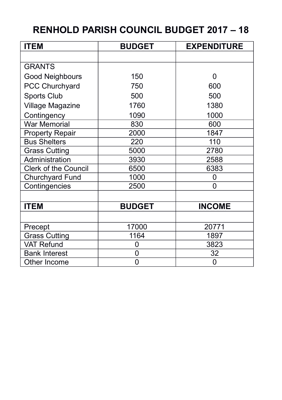## **RENHOLD PARISH COUNCIL BUDGET 2017 – 18**

| <b>ITEM</b>                 | <b>BUDGET</b> | <b>EXPENDITURE</b> |
|-----------------------------|---------------|--------------------|
|                             |               |                    |
| <b>GRANTS</b>               |               |                    |
| Good Neighbours             | 150           | 0                  |
| PCC Churchyard              | 750           | 600                |
| Sports Club                 | 500           | 500                |
| Village Magazine            | 1760          | 1380               |
| Contingency                 | 1090          | 1000               |
| <b>War Memorial</b>         | 830           | 600                |
| <b>Property Repair</b>      | 2000          | 1847               |
| <b>Bus Shelters</b>         | 220           | 110                |
| <b>Grass Cutting</b>        | 5000          | 2780               |
| Administration              | 3930          | 2588               |
| <b>Clerk of the Council</b> | 6500          | 6383               |
| Churchyard Fund             | 1000          | 0                  |
| Contingencies               | 2500          | 0                  |
|                             |               |                    |
| <b>ITEM</b>                 | <b>BUDGET</b> | <b>INCOME</b>      |
|                             |               |                    |
| Precept                     | 17000         | 20771              |
| <b>Grass Cutting</b>        | 1164          | 1897               |
| <b>VAT Refund</b>           | 0             | 3823               |
| <b>Bank Interest</b>        | 0             | 32                 |
| Other Income                | 0             | 0                  |